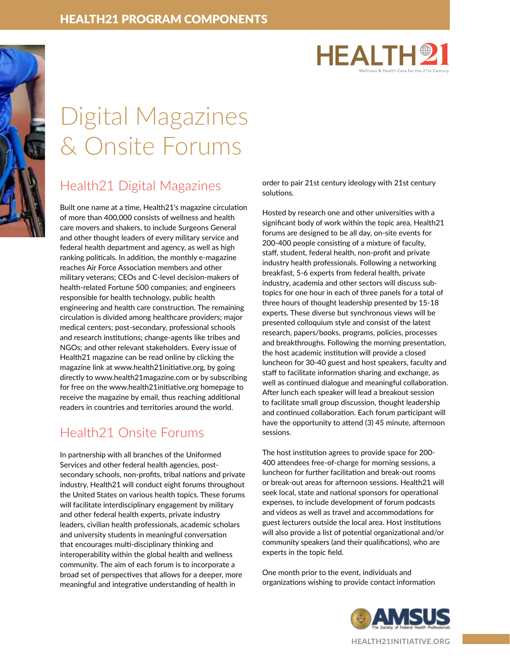



# Digital Magazines & Onsite Forums

## Health21 Digital Magazines

Built one name at a time, Health21's magazine circulation of more than 400,000 consists of wellness and health care movers and shakers, to include Surgeons General and other thought leaders of every military service and federal health department and agency, as well as high ranking politicals. In addition, the monthly e-magazine reaches Air Force Association members and other military veterans; CEOs and C-level decision-makers of health-related Fortune 500 companies; and engineers responsible for health technology, public health engineering and health care construction. The remaining circulation is divided among healthcare providers; major medical centers; post-secondary, professional schools and research institutions; change-agents like tribes and NGOs; and other relevant stakeholders. Every issue of Health21 magazine can be read online by clicking the magazine link at www.health21initiative.org, by going directly to www.health21magazine.com or by subscribing for free on the www.health21initiative.org homepage to receive the magazine by email, thus reaching additional readers in countries and territories around the world.

## Health21 Onsite Forums

In partnership with all branches of the Uniformed Services and other federal health agencies, postsecondary schools, non-profits, tribal nations and private industry, Health21 will conduct eight forums throughout the United States on various health topics. These forums will facilitate interdisciplinary engagement by military and other federal health experts, private industry leaders, civilian health professionals, academic scholars and university students in meaningful conversation that encourages multi-disciplinary thinking and interoperability within the global health and wellness community. The aim of each forum is to incorporate a broad set of perspectives that allows for a deeper, more meaningful and integrative understanding of health in

order to pair 21st century ideology with 21st century solutions.

Hosted by research one and other universities with a significant body of work within the topic area, Health21 forums are designed to be all day, on-site events for 200-400 people consisting of a mixture of faculty, staff, student, federal health, non-profit and private industry health professionals. Following a networking breakfast, 5-6 experts from federal health, private industry, academia and other sectors will discuss subtopics for one hour in each of three panels for a total of three hours of thought leadership presented by 15-18 experts. These diverse but synchronous views will be presented colloquium style and consist of the latest research, papers/books, programs, policies, processes and breakthroughs. Following the morning presentation, the host academic institution will provide a closed luncheon for 30-40 guest and host speakers, faculty and staff to facilitate information sharing and exchange, as well as continued dialogue and meaningful collaboration. After lunch each speaker will lead a breakout session to facilitate small group discussion, thought leadership and continued collaboration. Each forum participant will have the opportunity to attend (3) 45 minute, afternoon sessions.

The host institution agrees to provide space for 200- 400 attendees free-of-charge for morning sessions, a luncheon for further facilitation and break-out rooms or break-out areas for afternoon sessions. Health21 will seek local, state and national sponsors for operational expenses, to include development of forum podcasts and videos as well as travel and accommodations for guest lecturers outside the local area. Host institutions will also provide a list of potential organizational and/or community speakers (and their qualifications), who are experts in the topic field.

One month prior to the event, individuals and organizations wishing to provide contact information